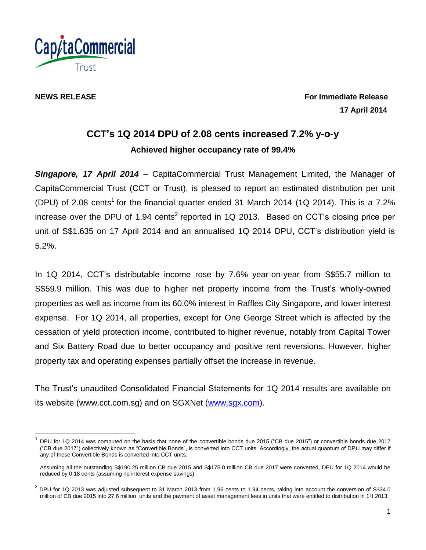

l

**NEWS RELEASE For Immediate Release 17 April 2014**

# **CCT's 1Q 2014 DPU of 2.08 cents increased 7.2% y-o-y Achieved higher occupancy rate of 99.4%**

*Singapore, 17 April 2014* – CapitaCommercial Trust Management Limited, the Manager of CapitaCommercial Trust (CCT or Trust), is pleased to report an estimated distribution per unit (DPU) of 2.08 cents<sup>1</sup> for the financial quarter ended 31 March 2014 (1Q 2014). This is a 7.2% increase over the DPU of 1.94 cents<sup>2</sup> reported in 1Q 2013. Based on CCT's closing price per unit of S\$1.635 on 17 April 2014 and an annualised 1Q 2014 DPU, CCT's distribution yield is 5.2%.

In 1Q 2014, CCT's distributable income rose by 7.6% year-on-year from S\$55.7 million to S\$59.9 million. This was due to higher net property income from the Trust's wholly-owned properties as well as income from its 60.0% interest in Raffles City Singapore, and lower interest expense. For 1Q 2014, all properties, except for One George Street which is affected by the cessation of yield protection income, contributed to higher revenue, notably from Capital Tower and Six Battery Road due to better occupancy and positive rent reversions. However, higher property tax and operating expenses partially offset the increase in revenue.

The Trust's unaudited Consolidated Financial Statements for 1Q 2014 results are available on its website (www.cct.com.sg) and on SGXNet [\(www.sgx.com\)](http://www.sgx.com/).

<sup>1</sup> DPU for 1Q 2014 was computed on the basis that none of the convertible bonds due 2015 ("CB due 2015") or convertible bonds due 2017 ("CB due 2017") collectively known as "Convertible Bonds", is converted into CCT units. Accordingly, the actual quantum of DPU may differ if any of these Convertible Bonds is converted into CCT units.

Assuming all the outstanding S\$190.25 million CB due 2015 and S\$175.0 million CB due 2017 were converted, DPU for 1Q 2014 would be reduced by 0.18 cents (assuming no interest expense savings).

 $^2$  DPU for 1Q 2013 was adjusted subsequent to 31 March 2013 from 1.96 cents to 1.94 cents, taking into account the conversion of S\$34.0 million of CB due 2015 into 27.6 million units and the payment of asset management fees in units that were entitled to distribution in 1H 2013.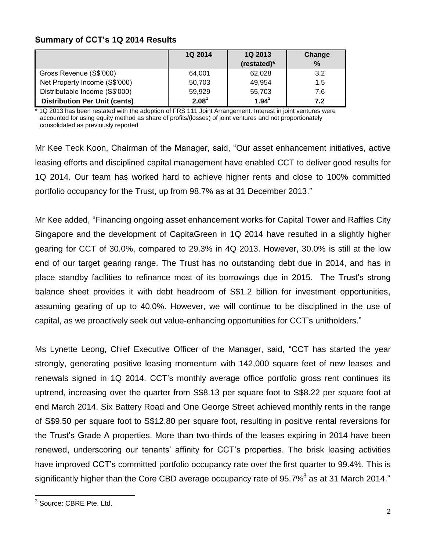# **Summary of CCT's 1Q 2014 Results**

|                                      | <b>1Q 2014</b> | 1Q 2013     | Change        |
|--------------------------------------|----------------|-------------|---------------|
|                                      |                | (restated)* | $\frac{9}{6}$ |
| Gross Revenue (S\$'000)              | 64,001         | 62,028      | 3.2           |
| Net Property Income (S\$'000)        | 50,703         | 49,954      | 1.5           |
| Distributable Income (S\$'000)       | 59,929         | 55,703      | 7.6           |
| <b>Distribution Per Unit (cents)</b> | $2.08^{\circ}$ | $1.94^{2}$  | 7.2           |

\* 1Q 2013 has been restated with the adoption of FRS 111 Joint Arrangement. Interest in joint ventures were accounted for using equity method as share of profits/(losses) of joint ventures and not proportionately consolidated as previously reported

Mr Kee Teck Koon, Chairman of the Manager, said, "Our asset enhancement initiatives, active leasing efforts and disciplined capital management have enabled CCT to deliver good results for 1Q 2014. Our team has worked hard to achieve higher rents and close to 100% committed portfolio occupancy for the Trust, up from 98.7% as at 31 December 2013."

Mr Kee added, "Financing ongoing asset enhancement works for Capital Tower and Raffles City Singapore and the development of CapitaGreen in 1Q 2014 have resulted in a slightly higher gearing for CCT of 30.0%, compared to 29.3% in 4Q 2013. However, 30.0% is still at the low end of our target gearing range. The Trust has no outstanding debt due in 2014, and has in place standby facilities to refinance most of its borrowings due in 2015. The Trust's strong balance sheet provides it with debt headroom of S\$1.2 billion for investment opportunities, assuming gearing of up to 40.0%. However, we will continue to be disciplined in the use of capital, as we proactively seek out value-enhancing opportunities for CCT's unitholders."

Ms Lynette Leong, Chief Executive Officer of the Manager, said, "CCT has started the year strongly, generating positive leasing momentum with 142,000 square feet of new leases and renewals signed in 1Q 2014. CCT's monthly average office portfolio gross rent continues its uptrend, increasing over the quarter from S\$8.13 per square foot to S\$8.22 per square foot at end March 2014. Six Battery Road and One George Street achieved monthly rents in the range of S\$9.50 per square foot to S\$12.80 per square foot, resulting in positive rental reversions for the Trust's Grade A properties. More than two-thirds of the leases expiring in 2014 have been renewed, underscoring our tenants' affinity for CCT's properties. The brisk leasing activities have improved CCT's committed portfolio occupancy rate over the first quarter to 99.4%. This is significantly higher than the Core CBD average occupancy rate of 95.7% $^3$  as at 31 March 2014."

l

<sup>&</sup>lt;sup>3</sup> Source: CBRE Pte. Ltd.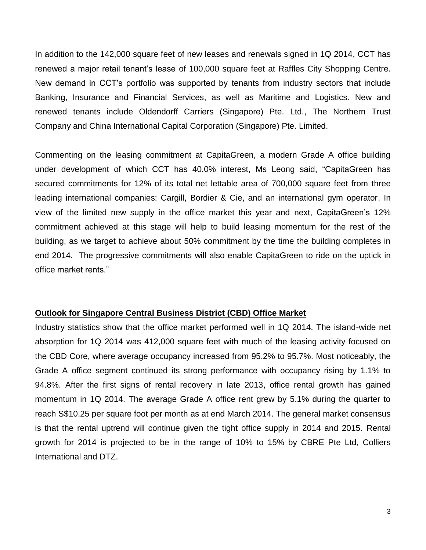In addition to the 142,000 square feet of new leases and renewals signed in 1Q 2014, CCT has renewed a major retail tenant's lease of 100,000 square feet at Raffles City Shopping Centre. New demand in CCT's portfolio was supported by tenants from industry sectors that include Banking, Insurance and Financial Services, as well as Maritime and Logistics. New and renewed tenants include Oldendorff Carriers (Singapore) Pte. Ltd., The Northern Trust Company and China International Capital Corporation (Singapore) Pte. Limited.

Commenting on the leasing commitment at CapitaGreen, a modern Grade A office building under development of which CCT has 40.0% interest, Ms Leong said, "CapitaGreen has secured commitments for 12% of its total net lettable area of 700,000 square feet from three leading international companies: Cargill, Bordier & Cie, and an international gym operator. In view of the limited new supply in the office market this year and next, CapitaGreen's 12% commitment achieved at this stage will help to build leasing momentum for the rest of the building, as we target to achieve about 50% commitment by the time the building completes in end 2014. The progressive commitments will also enable CapitaGreen to ride on the uptick in office market rents."

## **Outlook for Singapore Central Business District (CBD) Office Market**

Industry statistics show that the office market performed well in 1Q 2014. The island-wide net absorption for 1Q 2014 was 412,000 square feet with much of the leasing activity focused on the CBD Core, where average occupancy increased from 95.2% to 95.7%. Most noticeably, the Grade A office segment continued its strong performance with occupancy rising by 1.1% to 94.8%. After the first signs of rental recovery in late 2013, office rental growth has gained momentum in 1Q 2014. The average Grade A office rent grew by 5.1% during the quarter to reach S\$10.25 per square foot per month as at end March 2014. The general market consensus is that the rental uptrend will continue given the tight office supply in 2014 and 2015. Rental growth for 2014 is projected to be in the range of 10% to 15% by CBRE Pte Ltd, Colliers International and DTZ.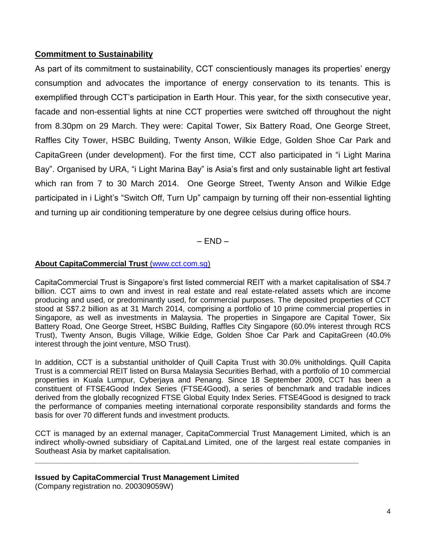# **Commitment to Sustainability**

As part of its commitment to sustainability, CCT conscientiously manages its properties' energy consumption and advocates the importance of energy conservation to its tenants. This is exemplified through CCT's participation in Earth Hour. This year, for the sixth consecutive year, facade and non-essential lights at nine CCT properties were switched off throughout the night from 8.30pm on 29 March. They were: Capital Tower, Six Battery Road, One George Street, Raffles City Tower, HSBC Building, Twenty Anson, Wilkie Edge, Golden Shoe Car Park and CapitaGreen (under development). For the first time, CCT also participated in "i Light Marina Bay". Organised by URA, "i Light Marina Bay" is Asia's first and only sustainable light art festival which ran from 7 to 30 March 2014. One George Street, Twenty Anson and Wilkie Edge participated in i Light's "Switch Off, Turn Up" campaign by turning off their non-essential lighting and turning up air conditioning temperature by one degree celsius during office hours.

 $-$  END  $-$ 

### **About CapitaCommercial Trust** (www.cct.com.sg)

CapitaCommercial Trust is Singapore's first listed commercial REIT with a market capitalisation of S\$4.7 billion. CCT aims to own and invest in real estate and real estate-related assets which are income producing and used, or predominantly used, for commercial purposes. The deposited properties of CCT stood at S\$7.2 billion as at 31 March 2014, comprising a portfolio of 10 prime commercial properties in Singapore, as well as investments in Malaysia. The properties in Singapore are Capital Tower, Six Battery Road, One George Street, HSBC Building, Raffles City Singapore (60.0% interest through RCS Trust), Twenty Anson, Bugis Village, Wilkie Edge, Golden Shoe Car Park and CapitaGreen (40.0% interest through the joint venture, MSO Trust).

In addition, CCT is a substantial unitholder of Quill Capita Trust with 30.0% unitholdings. Quill Capita Trust is a commercial REIT listed on Bursa Malaysia Securities Berhad, with a portfolio of 10 commercial properties in Kuala Lumpur, Cyberjaya and Penang. Since 18 September 2009, CCT has been a constituent of FTSE4Good Index Series (FTSE4Good), a series of benchmark and tradable indices derived from the globally recognized FTSE Global Equity Index Series. FTSE4Good is designed to track the performance of companies meeting international corporate responsibility standards and forms the basis for over 70 different funds and investment products.

CCT is managed by an external manager, CapitaCommercial Trust Management Limited, which is an indirect wholly-owned subsidiary of CapitaLand Limited, one of the largest real estate companies in Southeast Asia by market capitalisation.

**\_\_\_\_\_\_\_\_\_\_\_\_\_\_\_\_\_\_\_\_\_\_\_\_\_\_\_\_\_\_\_\_\_\_\_\_\_\_\_\_\_\_\_\_\_\_\_\_\_\_\_\_\_\_\_\_\_\_\_\_\_\_\_\_\_\_\_\_\_\_\_\_\_\_\_\_**

#### **Issued by CapitaCommercial Trust Management Limited**

(Company registration no. 200309059W)